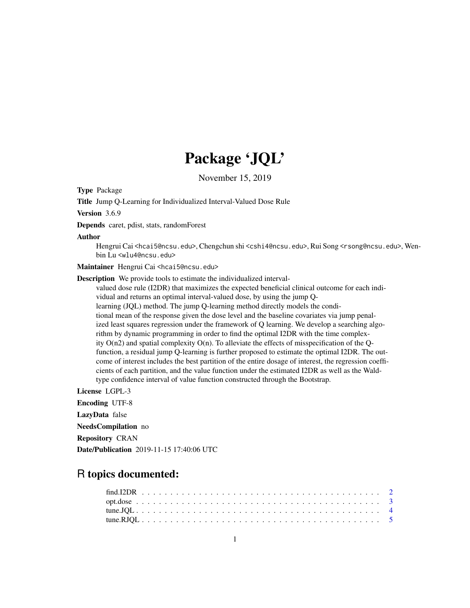## Package 'JQL'

November 15, 2019

Type Package

Title Jump Q-Learning for Individualized Interval-Valued Dose Rule

Version 3.6.9

Depends caret, pdist, stats, randomForest

Author

Hengrui Cai <hcai5@ncsu.edu>, Chengchun shi <cshi4@ncsu.edu>, Rui Song <rsong@ncsu.edu>, Wenbin Lu <wlu4@ncsu.edu>

Maintainer Hengrui Cai <hcai5@ncsu.edu>

Description We provide tools to estimate the individualized interval-

valued dose rule (I2DR) that maximizes the expected beneficial clinical outcome for each individual and returns an optimal interval-valued dose, by using the jump Qlearning (JQL) method. The jump Q-learning method directly models the conditional mean of the response given the dose level and the baseline covariates via jump penalized least squares regression under the framework of Q learning. We develop a searching algorithm by dynamic programming in order to find the optimal I2DR with the time complexity  $O(n2)$  and spatial complexity  $O(n)$ . To alleviate the effects of misspecification of the Qfunction, a residual jump Q-learning is further proposed to estimate the optimal I2DR. The outcome of interest includes the best partition of the entire dosage of interest, the regression coefficients of each partition, and the value function under the estimated I2DR as well as the Waldtype confidence interval of value function constructed through the Bootstrap.

License LGPL-3

Encoding UTF-8

LazyData false

NeedsCompilation no

Repository CRAN

Date/Publication 2019-11-15 17:40:06 UTC

### R topics documented: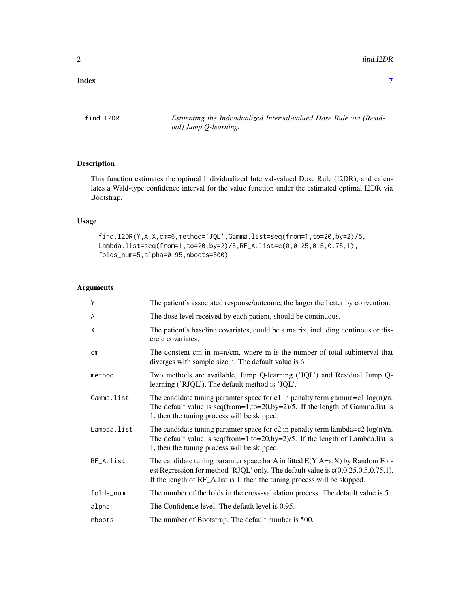#### <span id="page-1-0"></span>**Index** [7](#page-6-0) **7**

find.I2DR *Estimating the Individualized Interval-valued Dose Rule via (Residual) Jump Q-learning.*

#### Description

This function estimates the optimal Individualized Interval-valued Dose Rule (I2DR), and calculates a Wald-type confidence interval for the value function under the estimated optimal I2DR via Bootstrap.

#### Usage

find.I2DR(Y,A,X,cm=6,method='JQL',Gamma.list=seq(from=1,to=20,by=2)/5, Lambda.list=seq(from=1,to=20,by=2)/5,RF\_A.list=c(0,0.25,0.5,0.75,1), folds\_num=5,alpha=0.95,nboots=500)

#### Arguments

| Y             | The patient's associated response/outcome, the larger the better by convention.                                                                                                                                                                       |
|---------------|-------------------------------------------------------------------------------------------------------------------------------------------------------------------------------------------------------------------------------------------------------|
| A             | The dose level received by each patient, should be continuous.                                                                                                                                                                                        |
| X             | The patient's baseline covariates, could be a matrix, including continous or dis-<br>crete covariates.                                                                                                                                                |
| $\mathsf{cm}$ | The constent cm in m=n/cm, where m is the number of total subinterval that<br>diverges with sample size n. The default value is 6.                                                                                                                    |
| method        | Two methods are available, Jump Q-learning ('JQL') and Residual Jump Q-<br>learning ('RJQL'). The default method is 'JQL'.                                                                                                                            |
| Gamma.list    | The candidate tuning paramter space for c1 in penalty term gamma=c1 $log(n)/n$ .<br>The default value is $seq(from=1, to=20, by=2)/5$ . If the length of Gamma.list is<br>1, then the tuning process will be skipped.                                 |
| Lambda.list   | The candidate tuning paramter space for c2 in penalty term lambda=c2 $log(n)/n$ .<br>The default value is $seq(from=1, to=20, by=2)/5$ . If the length of Lambda.list is<br>1, then the tuning process will be skipped.                               |
| RF_A.list     | The candidate tuning paramter space for A in fitted $E(Y A=a, X)$ by Random For-<br>est Regression for method 'RJQL' only. The default value is $c(0,0.25,0.5,0.75,1)$ .<br>If the length of RF_A.list is 1, then the tuning process will be skipped. |
| folds_num     | The number of the folds in the cross-validation process. The default value is 5.                                                                                                                                                                      |
| alpha         | The Confidence level. The default level is 0.95.                                                                                                                                                                                                      |
| nboots        | The number of Bootstrap. The default number is 500.                                                                                                                                                                                                   |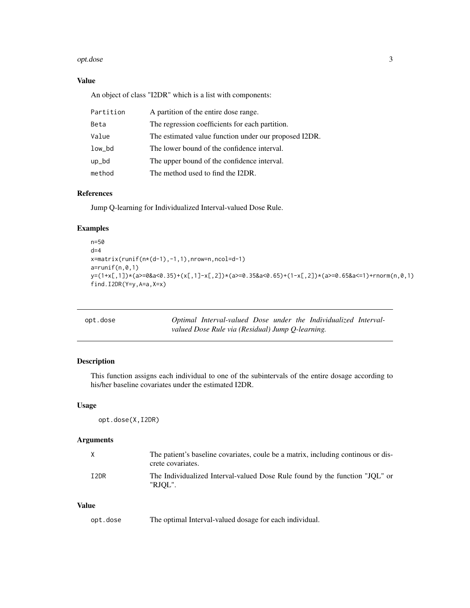#### <span id="page-2-0"></span>opt.dose 3

#### Value

An object of class "I2DR" which is a list with components:

| Partition | A partition of the entire dose range.                 |
|-----------|-------------------------------------------------------|
| Beta      | The regression coefficients for each partition.       |
| Value     | The estimated value function under our proposed I2DR. |
| low_bd    | The lower bound of the confidence interval.           |
| up_bd     | The upper bound of the confidence interval.           |
| method    | The method used to find the I2DR.                     |

#### References

Jump Q-learning for Individualized Interval-valued Dose Rule.

#### Examples

```
n=50
d=4x=matrix(runif(n*(d-1),-1,1),nrow=n,ncol=d-1)
a = runif(n,0,1)y=(1+x[,1])*(a>=0&a<0.35)+(x[,1]-x[,2])*(a>=0.35&a<0.65)+(1-x[,2])*(a>=0.65&a<=1)+rnorm(n,0,1)
find.I2DR(Y=y, A=a, X=x)
```

| opt.dose | Optimal Interval-valued Dose under the Individualized Interval- |  |  |  |
|----------|-----------------------------------------------------------------|--|--|--|
|          | valued Dose Rule via (Residual) Jump Q-learning.                |  |  |  |

#### Description

This function assigns each individual to one of the subintervals of the entire dosage according to his/her baseline covariates under the estimated I2DR.

#### Usage

opt.dose(X,I2DR)

#### Arguments

| $\mathsf{X}$     | The patient's baseline covariates, coule be a matrix, including continuous or dis-<br>crete covariates. |
|------------------|---------------------------------------------------------------------------------------------------------|
| T <sub>2DR</sub> | The Individualized Interval-valued Dose Rule found by the function "JOL" or<br>"RJOL".                  |

#### Value

| opt.dose |  | The optimal Interval-valued dosage for each individual. |  |  |
|----------|--|---------------------------------------------------------|--|--|
|----------|--|---------------------------------------------------------|--|--|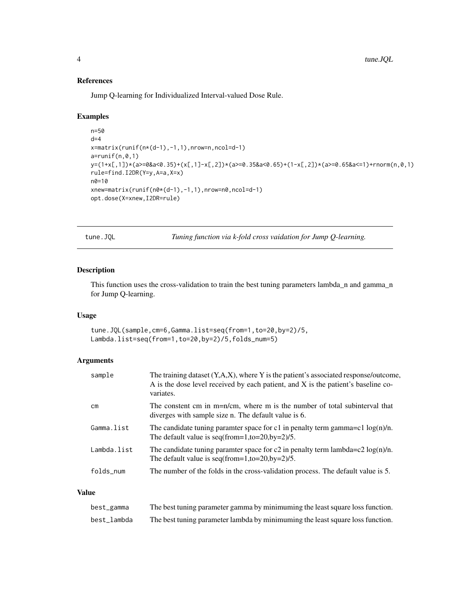#### References

Jump Q-learning for Individualized Interval-valued Dose Rule.

#### Examples

```
n=50
d=4x=matrix(runif(n*(d-1),-1,1),nrow=n,ncol=d-1)
a = runif(n,0,1)y=(1+x[,1])*(a>=0&a<0.35)+(x[,1]-x[,2])*(a>=0.35&a<0.65)+(1-x[,2])*(a>=0.65&a<=1)+rnorm(n,0,1)
rule=find.I2DR(Y=y,A=a,X=x)
n0=10
xnew=matrix(runif(n0*(d-1),-1,1),nrow=n0,ncol=d-1)
opt.dose(X=xnew,I2DR=rule)
```
tune.JQL *Tuning function via k-fold cross vaidation for Jump Q-learning.*

#### Description

This function uses the cross-validation to train the best tuning parameters lambda\_n and gamma\_n for Jump Q-learning.

#### Usage

tune.JQL(sample,cm=6,Gamma.list=seq(from=1,to=20,by=2)/5, Lambda.list=seq(from=1,to=20,by=2)/5,folds\_num=5)

#### Arguments

| sample      | The training dataset $(Y, A, X)$ , where Y is the patient's associated response/outcome,<br>A is the dose level received by each patient, and X is the patient's baseline co-<br>variates. |
|-------------|--------------------------------------------------------------------------------------------------------------------------------------------------------------------------------------------|
| cm          | The constent cm in m=n/cm, where m is the number of total subinterval that<br>diverges with sample size n. The default value is 6.                                                         |
| Gamma.list  | The candidate tuning paramter space for c1 in penalty term gamma=c1 $log(n)/n$ .<br>The default value is seq(from=1,to=20,by=2)/5.                                                         |
| Lambda.list | The candidate tuning paramter space for c2 in penalty term lambda=c2 $log(n)/n$ .<br>The default value is seq(from=1,to=20,by=2)/5.                                                        |
| folds_num   | The number of the folds in the cross-validation process. The default value is 5.                                                                                                           |

#### Value

| best_gamma  | The best tuning parameter gamma by minimuming the least square loss function.  |
|-------------|--------------------------------------------------------------------------------|
| best_lambda | The best tuning parameter lambda by minimuming the least square loss function. |

<span id="page-3-0"></span>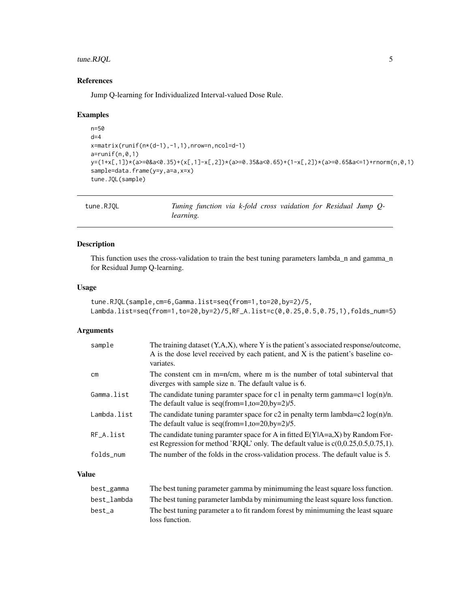#### <span id="page-4-0"></span>tune.RJQL 5

#### References

Jump Q-learning for Individualized Interval-valued Dose Rule.

#### Examples

```
n=50
d=4x = matrix(runit(n*(d-1), -1, 1), nrow=n, ncol=d-1)a = runif(n,0,1)y=(1+x[,1])*(a>=0&a<0.35)+(x[,1]-x[,2])*(a>=0.35&a<0.65)+(1-x[,2])*(a>=0.65&a<=1)+rnorm(n,0,1)
sample=data.frame(y=y,a=a,x=x)
tune.JQL(sample)
```

| tune.RJQL | Tuning function via k-fold cross vaidation for Residual Jump Q- |  |  |  |  |
|-----------|-----------------------------------------------------------------|--|--|--|--|
|           | <i>learning.</i>                                                |  |  |  |  |

#### Description

This function uses the cross-validation to train the best tuning parameters lambda\_n and gamma\_n for Residual Jump Q-learning.

#### Usage

```
tune.RJQL(sample,cm=6,Gamma.list=seq(from=1,to=20,by=2)/5,
Lambda.list=seq(from=1,to=20,by=2)/5,RF_A.list=c(0,0.25,0.5,0.75,1),folds_num=5)
```
#### Arguments

| sample        | The training dataset $(Y, A, X)$ , where Y is the patient's associated response/outcome,<br>A is the dose level received by each patient, and X is the patient's baseline co-<br>variates. |
|---------------|--------------------------------------------------------------------------------------------------------------------------------------------------------------------------------------------|
| $\mathsf{cm}$ | The constent cm in m=n/cm, where m is the number of total subinterval that<br>diverges with sample size n. The default value is 6.                                                         |
| Gamma.list    | The candidate tuning paramter space for c1 in penalty term gamma=c1 $log(n)/n$ .<br>The default value is seq(from=1,to=20,by=2)/5.                                                         |
| Lambda.list   | The candidate tuning paramter space for c2 in penalty term lambda=c2 $log(n)/n$ .<br>The default value is seq(from=1,to=20,by=2)/5.                                                        |
| $RF_A.list$   | The candidate tuning paramter space for A in fitted $E(Y A=a, X)$ by Random For-<br>est Regression for method 'RJQL' only. The default value is $c(0,0.25,0.5,0.75,1)$ .                   |
| folds_num     | The number of the folds in the cross-validation process. The default value is 5.                                                                                                           |

#### Value

| best_gamma  | The best tuning parameter gamma by minimuming the least square loss function.   |
|-------------|---------------------------------------------------------------------------------|
| best lambda | The best tuning parameter lambda by minimuming the least square loss function.  |
| best a      | The best tuning parameter a to fit random forest by minimuming the least square |
|             | loss function.                                                                  |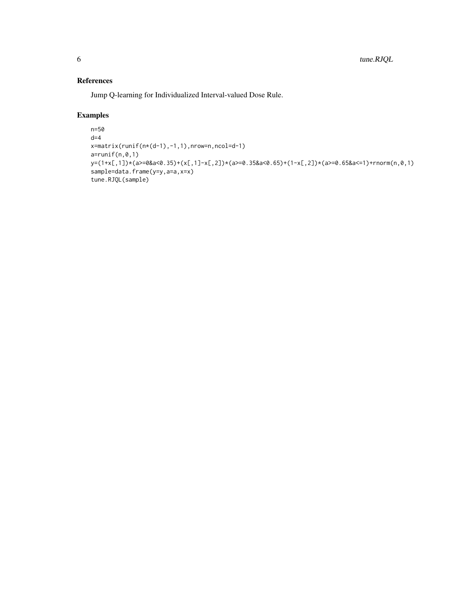#### References

Jump Q-learning for Individualized Interval-valued Dose Rule.

#### Examples

```
n=50
d=4x=matrix(runif(n*(d-1),-1,1),nrow=n,ncol=d-1)
a = runif(n,0,1)y=(1+x[,1])*(a>=0&a<0.35)+(x[,1]-x[,2])*(a>=0.35&a<0.65)+(1-x[,2])*(a>=0.65&a<=1)+rnorm(n,0,1)
sample=data.frame(y=y,a=a,x=x)
tune.RJQL(sample)
```